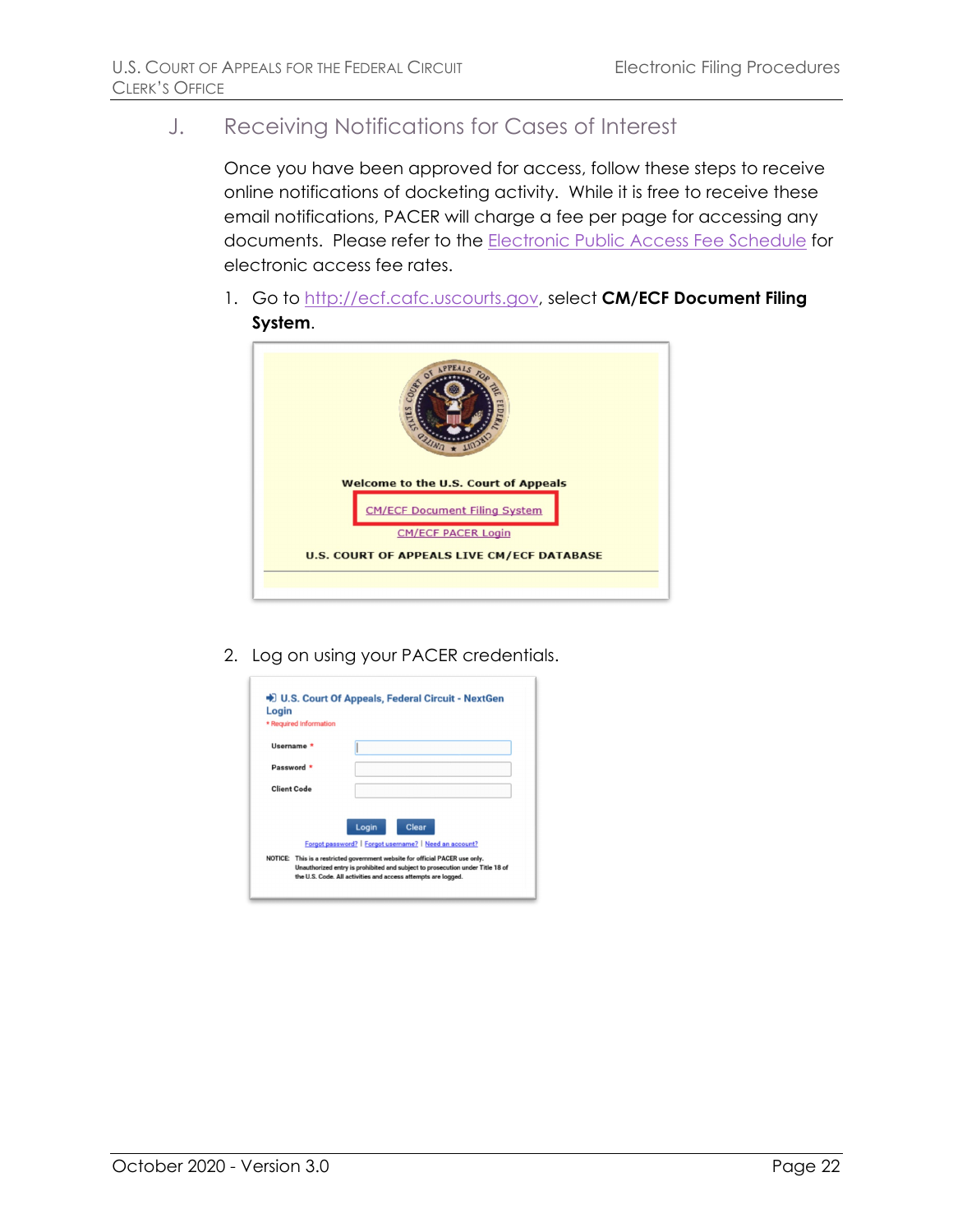J. Receiving Notifications for Cases of Interest

Once you have been approved for access, follow these steps to receive online notifications of docketing activity. While it is free to receive these email notifications, PACER will charge a fee per page for accessing any documents. Please refer to the [Electronic Public Access Fee Schedule](https://www.uscourts.gov/services-forms/fees/electronic-public-access-fee-schedule) for electronic access fee rates.

1. Go to [http://ecf.cafc.uscourts.gov,](http://ecf.cafc.uscourts.gov/) select **CM/ECF Document Filing System**.



2. Log on using your PACER credentials.

| Login<br>* Required Information |                                                                                                                                                                                                                                           |
|---------------------------------|-------------------------------------------------------------------------------------------------------------------------------------------------------------------------------------------------------------------------------------------|
| Username                        |                                                                                                                                                                                                                                           |
| Password <sup>*</sup>           |                                                                                                                                                                                                                                           |
| Client Code                     |                                                                                                                                                                                                                                           |
|                                 | Clear<br>Login<br>Forgot password?   Forgot username?   Need an account?<br>NOTICE: This is a restricted government website for official PACER use only.<br>Unauthorized entry is prohibited and subject to prosecution under Title 18 of |